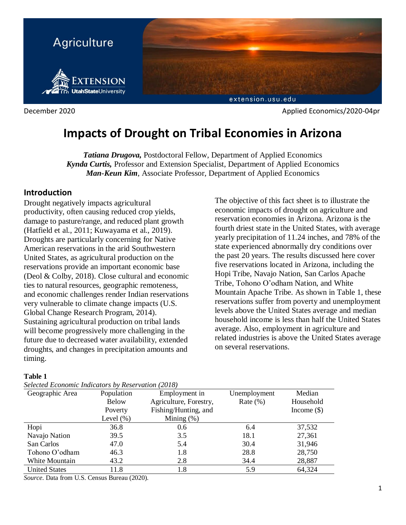

December 2020 Applied Economics/2020-04pr

# **Impacts of Drought on Tribal Economies in Arizona**

*Tatiana Drugova,* Postdoctoral Fellow, Department of Applied Economics *Kynda Curtis,* Professor and Extension Specialist, Department of Applied Economics *Man-Keun Kim*, Associate Professor, Department of Applied Economics

### **Introduction**

Drought negatively impacts agricultural productivity, often causing reduced crop yields, damage to pasture/range, and reduced plant growth (Hatfield et al., 2011; Kuwayama et al., 2019). Droughts are particularly concerning for Native American reservations in the arid Southwestern United States, as agricultural production on the reservations provide an important economic base (Deol & Colby, 2018). Close cultural and economic ties to natural resources, geographic remoteness, and economic challenges render Indian reservations very vulnerable to climate change impacts (U.S. Global Change Research Program, 2014). Sustaining agricultural production on tribal lands will become progressively more challenging in the future due to decreased water availability, extended droughts, and changes in precipitation amounts and timing.

### **Table 1**

*Selected Economic Indicators by Reservation (2018)*

The objective of this fact sheet is to illustrate the economic impacts of drought on agriculture and reservation economies in Arizona. Arizona is the fourth driest state in the United States, with average yearly precipitation of 11.24 inches, and 78% of the state experienced abnormally dry conditions over the past 20 years. The results discussed here cover five reservations located in Arizona, including the Hopi Tribe, Navajo Nation, San Carlos Apache Tribe, Tohono O'odham Nation, and White Mountain Apache Tribe. As shown in Table 1, these reservations suffer from poverty and unemployment levels above the United States average and median household income is less than half the United States average. Also, employment in agriculture and related industries is above the United States average on several reservations.

| Selected Economic Indicators by Reservation (2018) |              |                        |              |               |  |
|----------------------------------------------------|--------------|------------------------|--------------|---------------|--|
| Geographic Area                                    | Population   | Employment in          | Unemployment | Median        |  |
|                                                    | <b>Below</b> | Agriculture, Forestry, | Rate $(\%)$  | Household     |  |
|                                                    | Poverty      | Fishing/Hunting, and   |              | Income $(\$)$ |  |
|                                                    | Level $(\%)$ | Mining $(\%)$          |              |               |  |
| Hopi                                               | 36.8         | 0.6                    | 6.4          | 37,532        |  |
| Navajo Nation                                      | 39.5         | 3.5                    | 18.1         | 27,361        |  |
| San Carlos                                         | 47.0         | 5.4                    | 30.4         | 31,946        |  |
| Tohono O'odham                                     | 46.3         | 1.8                    | 28.8         | 28,750        |  |
| White Mountain                                     | 43.2         | 2.8                    | 34.4         | 28,887        |  |
| <b>United States</b>                               | 11.8         | 1.8                    | 5.9          | 64,324        |  |

*Source*. Data from U.S. Census Bureau (2020).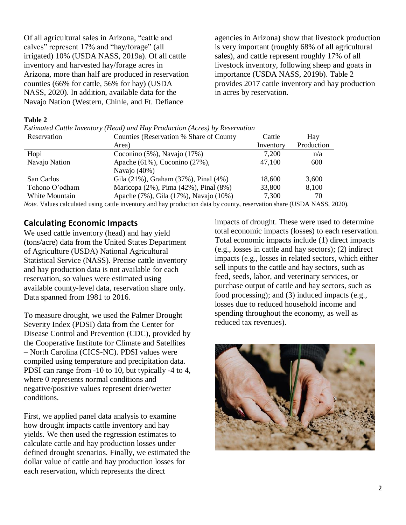Of all agricultural sales in Arizona, "cattle and calves" represent 17% and "hay/forage" (all irrigated) 10% (USDA NASS, 2019a). Of all cattle inventory and harvested hay/forage acres in Arizona, more than half are produced in reservation counties (66% for cattle, 56% for hay) (USDA NASS, 2020). In addition, available data for the Navajo Nation (Western, Chinle, and Ft. Defiance

agencies in Arizona) show that livestock production is very important (roughly 68% of all agricultural sales), and cattle represent roughly 17% of all livestock inventory, following sheep and goats in importance (USDA NASS, 2019b). Table 2 provides 2017 cattle inventory and hay production in acres by reservation.

#### **Table 2**

| Reservation    | Counties (Reservation % Share of County | Cattle    | Hay        |
|----------------|-----------------------------------------|-----------|------------|
|                | Area)                                   | Inventory | Production |
| Hopi           | Coconino $(5\%)$ , Navajo $(17\%)$      | 7,200     | n/a        |
| Navajo Nation  | Apache (61%), Coconino (27%),           | 47,100    | 600        |
|                | Navajo (40%)                            |           |            |
| San Carlos     | Gila (21%), Graham (37%), Pinal (4%)    | 18,600    | 3,600      |
| Tohono O'odham | Maricopa (2%), Pima (42%), Pinal (8%)   | 33,800    | 8,100      |
| White Mountain | Apache (7%), Gila (17%), Navajo (10%)   | 7,300     | 70         |

*Note.* Values calculated using cattle inventory and hay production data by county, reservation share (USDA NASS, 2020).

### **Calculating Economic Impacts**

We used cattle inventory (head) and hay yield (tons/acre) data from the United States Department of Agriculture (USDA) National Agricultural Statistical Service (NASS). Precise cattle inventory and hay production data is not available for each reservation, so values were estimated using available county-level data, reservation share only. Data spanned from 1981 to 2016.

To measure drought, we used the Palmer Drought Severity Index (PDSI) data from the Center for Disease Control and Prevention (CDC), provided by the Cooperative Institute for Climate and Satellites – North Carolina (CICS-NC). PDSI values were compiled using temperature and precipitation data. PDSI can range from -10 to 10, but typically -4 to 4, where 0 represents normal conditions and negative/positive values represent drier/wetter conditions.

First, we applied panel data analysis to examine how drought impacts cattle inventory and hay yields. We then used the regression estimates to calculate cattle and hay production losses under defined drought scenarios. Finally, we estimated the dollar value of cattle and hay production losses for each reservation, which represents the direct

impacts of drought. These were used to determine total economic impacts (losses) to each reservation. Total economic impacts include (1) direct impacts (e.g., losses in cattle and hay sectors); (2) indirect impacts (e.g., losses in related sectors, which either sell inputs to the cattle and hay sectors, such as feed, seeds, labor, and veterinary services, or purchase output of cattle and hay sectors, such as food processing); and (3) induced impacts (e.g., losses due to reduced household income and spending throughout the economy, as well as reduced tax revenues).

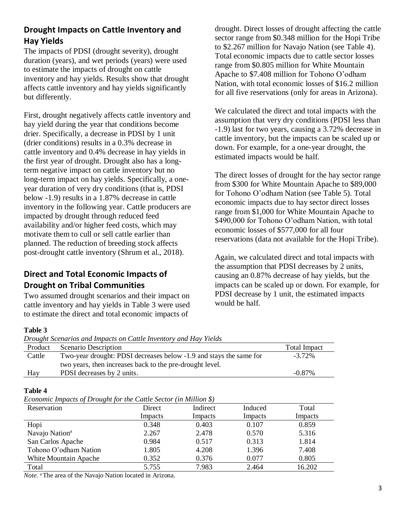# **Drought Impacts on Cattle Inventory and Hay Yields**

The impacts of PDSI (drought severity), drought duration (years), and wet periods (years) were used to estimate the impacts of drought on cattle inventory and hay yields. Results show that drought affects cattle inventory and hay yields significantly but differently.

First, drought negatively affects cattle inventory and hay yield during the year that conditions become drier. Specifically, a decrease in PDSI by 1 unit (drier conditions) results in a 0.3% decrease in cattle inventory and 0.4% decrease in hay yields in the first year of drought. Drought also has a longterm negative impact on cattle inventory but no long-term impact on hay yields. Specifically, a oneyear duration of very dry conditions (that is, PDSI below -1.9) results in a 1.87% decrease in cattle inventory in the following year. Cattle producers are impacted by drought through reduced feed availability and/or higher feed costs, which may motivate them to cull or sell cattle earlier than planned. The reduction of breeding stock affects post-drought cattle inventory (Shrum et al., 2018).

# **Direct and Total Economic Impacts of Drought on Tribal Communities**

Two assumed drought scenarios and their impact on cattle inventory and hay yields in Table 3 were used to estimate the direct and total economic impacts of

drought. Direct losses of drought affecting the cattle sector range from \$0.348 million for the Hopi Tribe to \$2.267 million for Navajo Nation (see Table 4). Total economic impacts due to cattle sector losses range from \$0.805 million for White Mountain Apache to \$7.408 million for Tohono O'odham Nation, with total economic losses of \$16.2 million for all five reservations (only for areas in Arizona).

We calculated the direct and total impacts with the assumption that very dry conditions (PDSI less than -1.9) last for two years, causing a 3.72% decrease in cattle inventory, but the impacts can be scaled up or down. For example, for a one-year drought, the estimated impacts would be half.

The direct losses of drought for the hay sector range from \$300 for White Mountain Apache to \$89,000 for Tohono O'odham Nation (see Table 5). Total economic impacts due to hay sector direct losses range from \$1,000 for White Mountain Apache to \$490,000 for Tohono O'odham Nation, with total economic losses of \$577,000 for all four reservations (data not available for the Hopi Tribe).

Again, we calculated direct and total impacts with the assumption that PDSI decreases by 2 units, causing an 0.87% decrease of hay yields, but the impacts can be scaled up or down. For example, for PDSI decrease by 1 unit, the estimated impacts would be half.

### **Table 3**

*Drought Scenarios and Impacts on Cattle Inventory and Hay Yields* 

| Product | Scenario Description                                               | <b>Total Impact</b> |
|---------|--------------------------------------------------------------------|---------------------|
| Cattle  | Two-year drought: PDSI decreases below -1.9 and stays the same for | $-3.72\%$           |
|         | two years, then increases back to the pre-drought level.           |                     |
| Hay     | PDSI decreases by 2 units.                                         | $-0.87\%$           |

#### **Table 4**

|--|

| Reservation                  | Direct  | Indirect | Induced | Total   |
|------------------------------|---------|----------|---------|---------|
|                              | Impacts | Impacts  | Impacts | Impacts |
| Hopi                         | 0.348   | 0.403    | 0.107   | 0.859   |
| Navajo Nation <sup>a</sup>   | 2.267   | 2.478    | 0.570   | 5.316   |
| San Carlos Apache            | 0.984   | 0.517    | 0.313   | 1.814   |
| Tohono O'odham Nation        | 1.805   | 4.208    | 1.396   | 7.408   |
| <b>White Mountain Apache</b> | 0.352   | 0.376    | 0.077   | 0.805   |
| Total                        | 5.755   | 7.983    | 2.464   | 16.202  |

*Note.* <sup>a</sup>The area of the Navajo Nation located in Arizona.